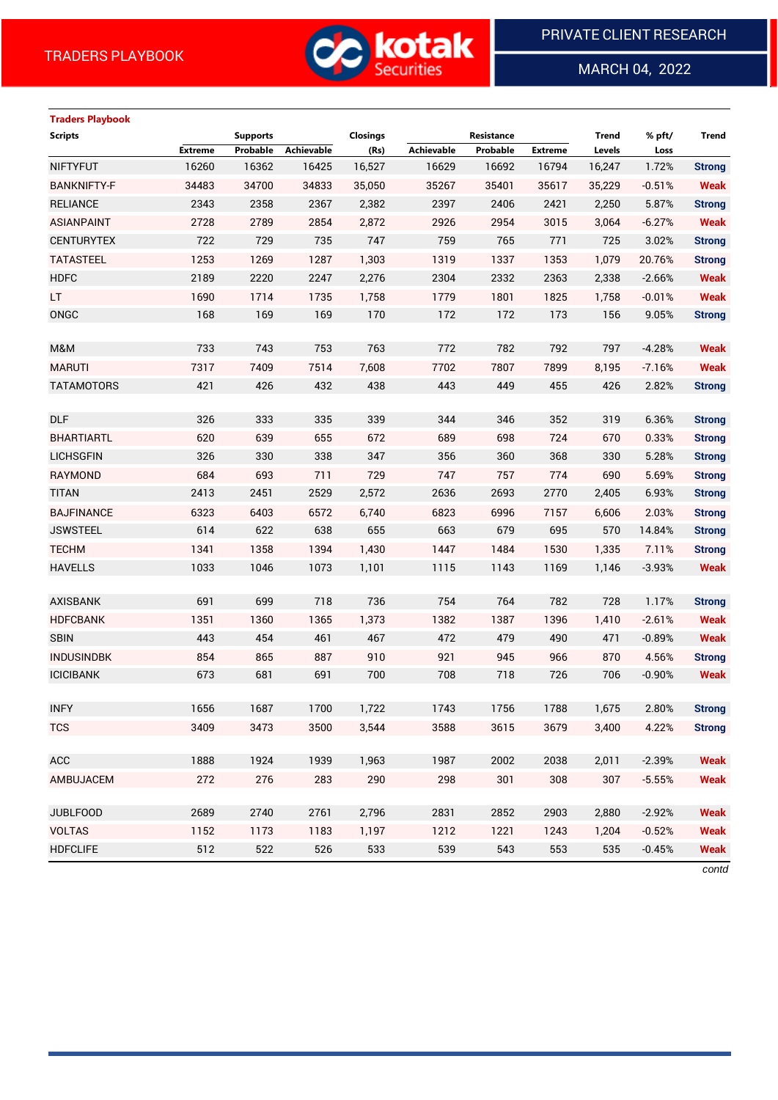

MARCH 04, 2022

 $\overline{a}$ 

# **Traders Playbook**

| <b>Scripts</b>     |                | <b>Supports</b> |            | <b>Closings</b> |                   | Resistance |                | <b>Trend</b> | % pft/   | Trend         |
|--------------------|----------------|-----------------|------------|-----------------|-------------------|------------|----------------|--------------|----------|---------------|
|                    | <b>Extreme</b> | Probable        | Achievable | (Rs)            | <b>Achievable</b> | Probable   | <b>Extreme</b> | Levels       | Loss     |               |
| <b>NIFTYFUT</b>    | 16260          | 16362           | 16425      | 16,527          | 16629             | 16692      | 16794          | 16,247       | 1.72%    | <b>Strong</b> |
| <b>BANKNIFTY-F</b> | 34483          | 34700           | 34833      | 35,050          | 35267             | 35401      | 35617          | 35,229       | $-0.51%$ | <b>Weak</b>   |
| <b>RELIANCE</b>    | 2343           | 2358            | 2367       | 2,382           | 2397              | 2406       | 2421           | 2,250        | 5.87%    | <b>Strong</b> |
| <b>ASIANPAINT</b>  | 2728           | 2789            | 2854       | 2,872           | 2926              | 2954       | 3015           | 3,064        | $-6.27%$ | <b>Weak</b>   |
| <b>CENTURYTEX</b>  | 722            | 729             | 735        | 747             | 759               | 765        | 771            | 725          | 3.02%    | <b>Strong</b> |
| <b>TATASTEEL</b>   | 1253           | 1269            | 1287       | 1,303           | 1319              | 1337       | 1353           | 1,079        | 20.76%   | <b>Strong</b> |
| <b>HDFC</b>        | 2189           | 2220            | 2247       | 2,276           | 2304              | 2332       | 2363           | 2,338        | $-2.66%$ | <b>Weak</b>   |
| LT.                | 1690           | 1714            | 1735       | 1,758           | 1779              | 1801       | 1825           | 1,758        | $-0.01%$ | <b>Weak</b>   |
| ONGC               | 168            | 169             | 169        | 170             | 172               | 172        | 173            | 156          | 9.05%    | <b>Strong</b> |
|                    |                |                 |            |                 |                   |            |                |              |          |               |
| M&M                | 733            | 743             | 753        | 763             | 772               | 782        | 792            | 797          | $-4.28%$ | <b>Weak</b>   |
| <b>MARUTI</b>      | 7317           | 7409            | 7514       | 7,608           | 7702              | 7807       | 7899           | 8,195        | $-7.16%$ | <b>Weak</b>   |
| <b>TATAMOTORS</b>  | 421            | 426             | 432        | 438             | 443               | 449        | 455            | 426          | 2.82%    | <b>Strong</b> |
|                    |                |                 |            |                 |                   |            |                |              |          |               |
| <b>DLF</b>         | 326            | 333             | 335        | 339             | 344               | 346        | 352            | 319          | 6.36%    | <b>Strong</b> |
| <b>BHARTIARTL</b>  | 620            | 639             | 655        | 672             | 689               | 698        | 724            | 670          | 0.33%    | <b>Strong</b> |
| <b>LICHSGFIN</b>   | 326            | 330             | 338        | 347             | 356               | 360        | 368            | 330          | 5.28%    | <b>Strong</b> |
| <b>RAYMOND</b>     | 684            | 693             | 711        | 729             | 747               | 757        | 774            | 690          | 5.69%    | <b>Strong</b> |
| <b>TITAN</b>       | 2413           | 2451            | 2529       | 2,572           | 2636              | 2693       | 2770           | 2,405        | 6.93%    | <b>Strong</b> |
| <b>BAJFINANCE</b>  | 6323           | 6403            | 6572       | 6,740           | 6823              | 6996       | 7157           | 6,606        | 2.03%    | <b>Strong</b> |
| <b>JSWSTEEL</b>    | 614            | 622             | 638        | 655             | 663               | 679        | 695            | 570          | 14.84%   | <b>Strong</b> |
| <b>TECHM</b>       | 1341           | 1358            | 1394       | 1,430           | 1447              | 1484       | 1530           | 1,335        | 7.11%    | <b>Strong</b> |
| <b>HAVELLS</b>     | 1033           | 1046            | 1073       | 1,101           | 1115              | 1143       | 1169           | 1,146        | $-3.93%$ | <b>Weak</b>   |
|                    |                |                 |            |                 |                   |            |                |              |          |               |
| <b>AXISBANK</b>    | 691            | 699             | 718        | 736             | 754               | 764        | 782            | 728          | 1.17%    | <b>Strong</b> |
| <b>HDFCBANK</b>    | 1351           | 1360            | 1365       | 1,373           | 1382              | 1387       | 1396           | 1,410        | $-2.61%$ | <b>Weak</b>   |
| <b>SBIN</b>        | 443            | 454             | 461        | 467             | 472               | 479        | 490            | 471          | $-0.89%$ | <b>Weak</b>   |
| <b>INDUSINDBK</b>  | 854            | 865             | 887        | 910             | 921               | 945        | 966            | 870          | 4.56%    | <b>Strong</b> |
| <b>ICICIBANK</b>   | 673            | 681             | 691        | 700             | 708               | 718        | 726            | 706          | $-0.90%$ | <b>Weak</b>   |
|                    |                |                 |            |                 |                   |            |                |              |          |               |
| <b>INFY</b>        | 1656           | 1687            | 1700       | 1,722           | 1743              | 1756       | 1788           | 1,675        | 2.80%    | <b>Strong</b> |
| <b>TCS</b>         | 3409           | 3473            | 3500       | 3,544           | 3588              | 3615       | 3679           | 3,400        | 4.22%    | <b>Strong</b> |
| ACC                | 1888           | 1924            | 1939       | 1,963           | 1987              | 2002       | 2038           | 2,011        | $-2.39%$ | <b>Weak</b>   |
|                    |                |                 |            |                 |                   |            |                |              |          |               |
| AMBUJACEM          | 272            | 276             | 283        | 290             | 298               | 301        | 308            | 307          | $-5.55%$ | <b>Weak</b>   |
| <b>JUBLFOOD</b>    | 2689           | 2740            | 2761       | 2,796           | 2831              | 2852       | 2903           | 2,880        | $-2.92%$ | <b>Weak</b>   |
| <b>VOLTAS</b>      | 1152           | 1173            | 1183       | 1,197           | 1212              | 1221       | 1243           | 1,204        | $-0.52%$ | <b>Weak</b>   |
| <b>HDFCLIFE</b>    | 512            | 522             | 526        | 533             | 539               | 543        | 553            | 535          | $-0.45%$ | <b>Weak</b>   |
|                    |                |                 |            |                 |                   |            |                |              |          |               |

*contd*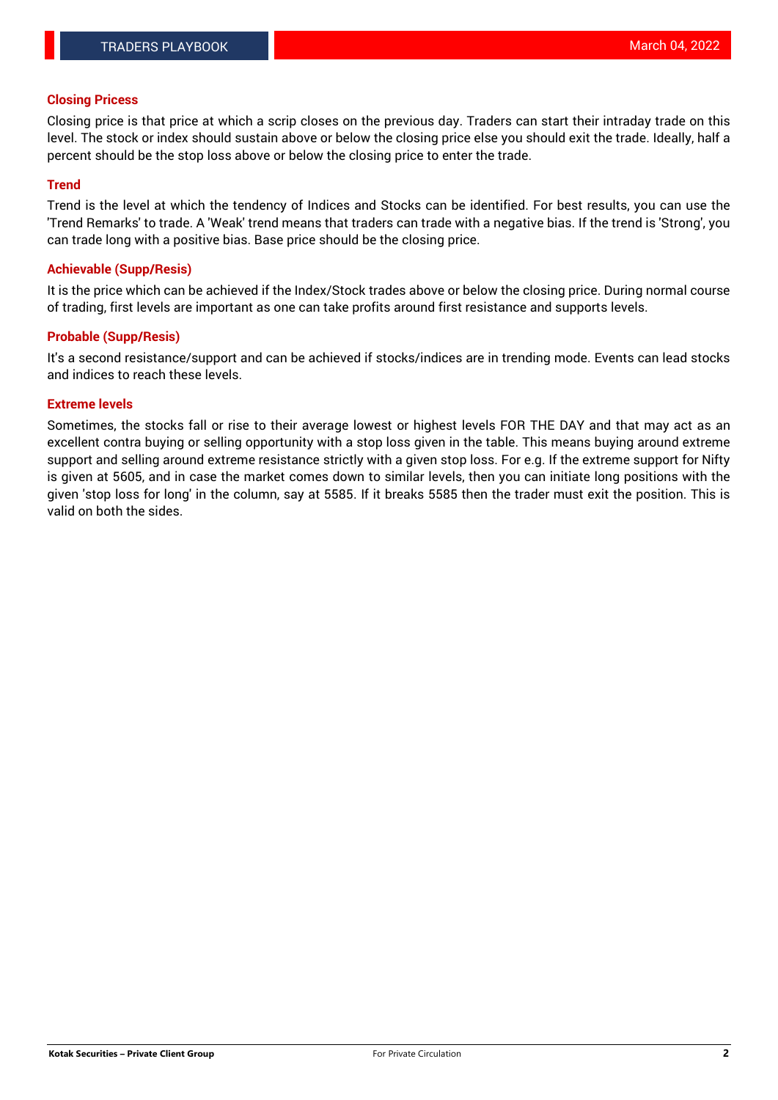### **Closing Pricess**

Closing price is that price at which a scrip closes on the previous day. Traders can start their intraday trade on this level. The stock or index should sustain above or below the closing price else you should exit the trade. Ideally, half a percent should be the stop loss above or below the closing price to enter the trade.

## **Trend**

Trend is the level at which the tendency of Indices and Stocks can be identified. For best results, you can use the 'Trend Remarks' to trade. A 'Weak' trend means that traders can trade with a negative bias. If the trend is 'Strong', you can trade long with a positive bias. Base price should be the closing price.

### **Achievable (Supp/Resis)**

It is the price which can be achieved if the Index/Stock trades above or below the closing price. During normal course of trading, first levels are important as one can take profits around first resistance and supports levels.

## **Probable (Supp/Resis)**

It's a second resistance/support and can be achieved if stocks/indices are in trending mode. Events can lead stocks and indices to reach these levels.

#### **Extreme levels**

Sometimes, the stocks fall or rise to their average lowest or highest levels FOR THE DAY and that may act as an excellent contra buying or selling opportunity with a stop loss given in the table. This means buying around extreme support and selling around extreme resistance strictly with a given stop loss. For e.g. If the extreme support for Nifty is given at 5605, and in case the market comes down to similar levels, then you can initiate long positions with the given 'stop loss for long' in the column, say at 5585. If it breaks 5585 then the trader must exit the position. This is valid on both the sides.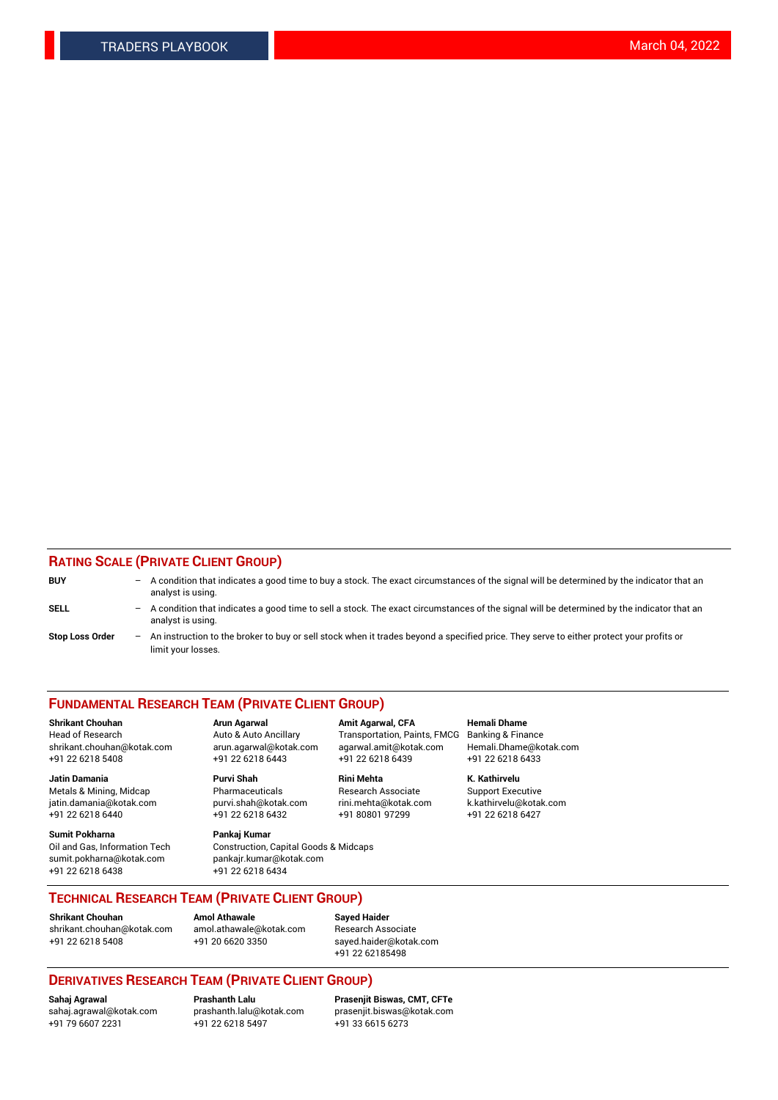## **RATING SCALE (PRIVATE CLIENT GROUP)**

| <b>BUY</b>             | $-$ | A condition that indicates a good time to buy a stock. The exact circumstances of the signal will be determined by the indicator that an<br>analyst is using.    |
|------------------------|-----|------------------------------------------------------------------------------------------------------------------------------------------------------------------|
| <b>SELL</b>            |     | - A condition that indicates a good time to sell a stock. The exact circumstances of the signal will be determined by the indicator that an<br>analyst is using. |
| <b>Stop Loss Order</b> |     | An instruction to the broker to buy or sell stock when it trades beyond a specified price. They serve to either protect your profits or<br>limit your losses.    |

#### **FUNDAMENTAL RESEARCH TEAM (PRIVATE CLIENT GROUP)**

**Shrikant Chouhan Arun Agarwal Amit Agarwal, CFA Hemali Dhame** Head of Research Auto & Auto Ancillary Transportation, Paints, FMCG Banking & Finance shrikant.chouhan@kotak.com arun.agarwal@kotak.com agarwal.amit@kotak.com Hemali.Dhame@kotak.com

**Jatin Damania Purvi Shah Rini Mehta K. Kathirvelu** Metals & Mining, Midcap **Pharmaceuticals** Research Associate Support Executive jatin.damania@kotak.com [purvi.shah@kotak.com](mailto:purvi.shah@kotak.com) rini.mehta@kotak.com [k.kathirvelu@kotak.com](mailto:k.kathirvelu@kotak.com)  $+91$  22 6218 6440  $+91$  22 6218 6432

**Sumit Pokharna Pankaj Kumar** sumit.pokharna@kotak.com pankajr.kumar@kotak.com +91 22 6218 6438 +91 22 6218 6434

Oil and Gas, Information Tech Construction, Capital Goods & Midcaps

+91 22 6218 5408 +91 22 6218 6443 +91 22 6218 6439 +91 22 6218 6433

**TECHNICAL RESEARCH TEAM (PRIVATE CLIENT GROUP)**

[shrikant.chouhan@kotak.com](mailto:shrikant.chouhan@kotak.com) [amol.athawale@kotak.com](mailto:amol.athawale@kotak.com) Research Associate +91 22 6218 5408 +91 20 6620 3350 [sayed.haider@kotak.com](mailto:sayed.haider@kotak.com)

**Shrikant Chouhan Amol Athawale Sayed Haider**

+91 22 62185498

# **DERIVATIVES RESEARCH TEAM (PRIVATE CLIENT GROUP)**

 $+91$  22 6218 5497

**Sahaj Agrawal Prashanth Lalu Prasenjit Biswas, CMT, CFTe** [sahaj.agrawal@kotak.com](mailto:sahaj.agrawal@kotak.com) [prashanth.lalu@kotak.com](mailto:prashanth.lalu@kotak.com) [prasenjit.biswas@kotak.com](mailto:prasenjit.biswas@kotak.com)